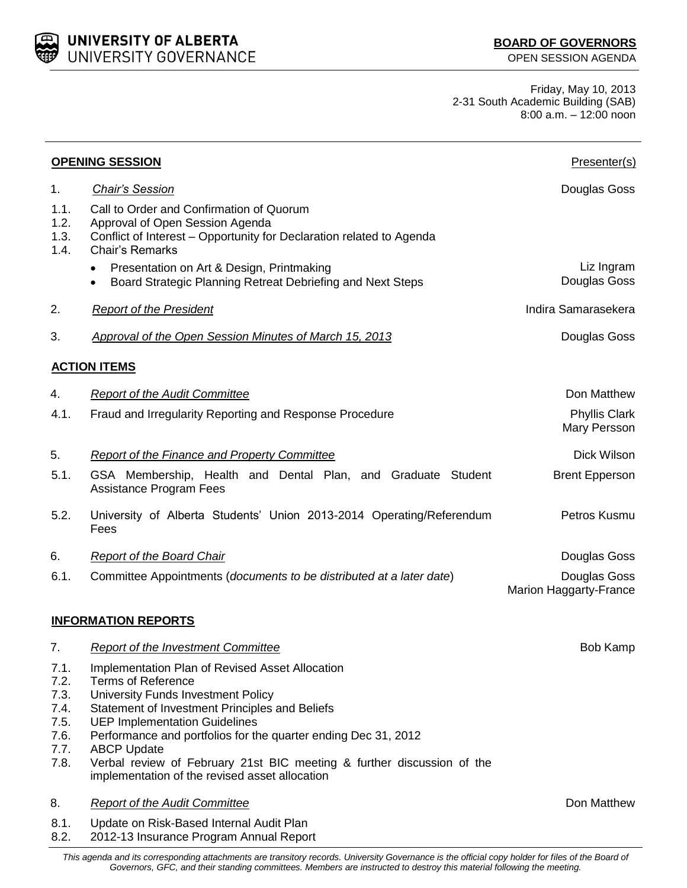UNIVERSITY OF ALBERTA UNIVERSITY GOVERNANCE

Friday, May 10, 2013 2-31 South Academic Building (SAB) 8:00 a.m. – 12:00 noon

| <b>OPENING SESSION</b>                                       |                                                                                                                                                                                                                                                                                                                                                                                                                                  | Presenter(s)                                  |
|--------------------------------------------------------------|----------------------------------------------------------------------------------------------------------------------------------------------------------------------------------------------------------------------------------------------------------------------------------------------------------------------------------------------------------------------------------------------------------------------------------|-----------------------------------------------|
| 1.                                                           | <b>Chair's Session</b>                                                                                                                                                                                                                                                                                                                                                                                                           | Douglas Goss                                  |
| 1.1.<br>1.2.<br>1.3.<br>1.4.                                 | Call to Order and Confirmation of Quorum<br>Approval of Open Session Agenda<br>Conflict of Interest - Opportunity for Declaration related to Agenda<br><b>Chair's Remarks</b>                                                                                                                                                                                                                                                    |                                               |
|                                                              | Presentation on Art & Design, Printmaking<br>$\bullet$<br>Board Strategic Planning Retreat Debriefing and Next Steps<br>$\bullet$                                                                                                                                                                                                                                                                                                | Liz Ingram<br>Douglas Goss                    |
| 2.                                                           | <b>Report of the President</b>                                                                                                                                                                                                                                                                                                                                                                                                   | Indira Samarasekera                           |
| 3.                                                           | <b>Approval of the Open Session Minutes of March 15, 2013</b>                                                                                                                                                                                                                                                                                                                                                                    | Douglas Goss                                  |
|                                                              | <b>ACTION ITEMS</b>                                                                                                                                                                                                                                                                                                                                                                                                              |                                               |
| 4.                                                           | <b>Report of the Audit Committee</b>                                                                                                                                                                                                                                                                                                                                                                                             | Don Matthew                                   |
| 4.1.                                                         | Fraud and Irregularity Reporting and Response Procedure                                                                                                                                                                                                                                                                                                                                                                          | <b>Phyllis Clark</b><br>Mary Persson          |
| 5.                                                           | Report of the Finance and Property Committee                                                                                                                                                                                                                                                                                                                                                                                     | Dick Wilson                                   |
| 5.1.                                                         | GSA Membership, Health and Dental Plan, and Graduate Student<br><b>Assistance Program Fees</b>                                                                                                                                                                                                                                                                                                                                   | <b>Brent Epperson</b>                         |
| 5.2.                                                         | University of Alberta Students' Union 2013-2014 Operating/Referendum<br>Fees                                                                                                                                                                                                                                                                                                                                                     | Petros Kusmu                                  |
| 6.                                                           | <b>Report of the Board Chair</b>                                                                                                                                                                                                                                                                                                                                                                                                 | Douglas Goss                                  |
| 6.1.                                                         | Committee Appointments (documents to be distributed at a later date)                                                                                                                                                                                                                                                                                                                                                             | Douglas Goss<br><b>Marion Haggarty-France</b> |
|                                                              | <b>INFORMATION REPORTS</b>                                                                                                                                                                                                                                                                                                                                                                                                       |                                               |
| $\mathcal{L}$                                                | <b>Report of the Investment Committee</b>                                                                                                                                                                                                                                                                                                                                                                                        | Bob Kamp                                      |
| 7.1.<br>7.2.<br>7.3.<br>7.4.<br>7.5.<br>7.6.<br>7.7.<br>7.8. | Implementation Plan of Revised Asset Allocation<br><b>Terms of Reference</b><br>University Funds Investment Policy<br>Statement of Investment Principles and Beliefs<br><b>UEP Implementation Guidelines</b><br>Performance and portfolios for the quarter ending Dec 31, 2012<br><b>ABCP Update</b><br>Verbal review of February 21st BIC meeting & further discussion of the<br>implementation of the revised asset allocation |                                               |
| 8.                                                           | <b>Report of the Audit Committee</b>                                                                                                                                                                                                                                                                                                                                                                                             | Don Matthew                                   |
| 8.1.<br>8.2.                                                 | Update on Risk-Based Internal Audit Plan<br>2012-13 Insurance Program Annual Report                                                                                                                                                                                                                                                                                                                                              |                                               |

*This agenda and its corresponding attachments are transitory records. University Governance is the official copy holder for files of the Board of Governors, GFC, and their standing committees. Members are instructed to destroy this material following the meeting.*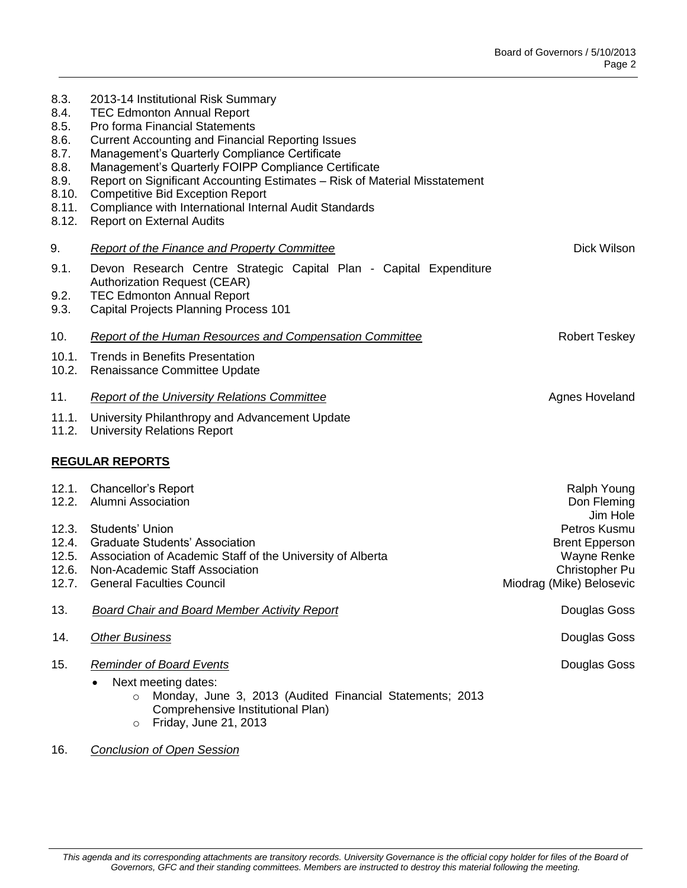| 9.<br>Dick Wilson<br><b>Report of the Finance and Property Committee</b><br>9.1.<br>Devon Research Centre Strategic Capital Plan - Capital Expenditure<br><b>Authorization Request (CEAR)</b><br>9.2.<br><b>TEC Edmonton Annual Report</b><br>9.3.<br>Capital Projects Planning Process 101<br><b>Robert Teskey</b><br>10.<br><b>Report of the Human Resources and Compensation Committee</b><br>10.1.<br><b>Trends in Benefits Presentation</b><br>10.2.<br>Renaissance Committee Update<br>11.<br><b>Report of the University Relations Committee</b><br>Agnes Hoveland<br>11.1.<br>University Philanthropy and Advancement Update<br>11.2.<br><b>University Relations Report</b><br><b>REGULAR REPORTS</b><br>12.1.<br>Chancellor's Report<br><b>Ralph Young</b><br>12.2.<br>Alumni Association<br>Don Fleming<br>Jim Hole<br>12.3.<br><b>Students' Union</b><br>Petros Kusmu<br>12.4.<br><b>Graduate Students' Association</b><br><b>Brent Epperson</b><br>12.5. Association of Academic Staff of the University of Alberta<br>Wayne Renke<br>12.6.<br>Non-Academic Staff Association<br>Christopher Pu<br>12.7.<br><b>General Faculties Council</b><br>Miodrag (Mike) Belosevic<br>13.<br><b>Board Chair and Board Member Activity Report</b><br>Douglas Goss<br>14.<br>Douglas Goss<br><b>Other Business</b><br>15.<br><b>Reminder of Board Events</b><br>Douglas Goss<br>Next meeting dates:<br>$\bullet$<br>Monday, June 3, 2013 (Audited Financial Statements; 2013<br>$\circ$<br>Comprehensive Institutional Plan)<br>Friday, June 21, 2013<br>$\circ$ | 8.4.<br>8.5.<br>8.6.<br>8.7.<br>8.8.<br>8.9.<br>8.10.<br>8.11.<br>8.12. | <b>TEC Edmonton Annual Report</b><br>Pro forma Financial Statements<br><b>Current Accounting and Financial Reporting Issues</b><br>Management's Quarterly Compliance Certificate<br>Management's Quarterly FOIPP Compliance Certificate<br>Report on Significant Accounting Estimates - Risk of Material Misstatement<br><b>Competitive Bid Exception Report</b><br>Compliance with International Internal Audit Standards<br><b>Report on External Audits</b> |  |
|------------------------------------------------------------------------------------------------------------------------------------------------------------------------------------------------------------------------------------------------------------------------------------------------------------------------------------------------------------------------------------------------------------------------------------------------------------------------------------------------------------------------------------------------------------------------------------------------------------------------------------------------------------------------------------------------------------------------------------------------------------------------------------------------------------------------------------------------------------------------------------------------------------------------------------------------------------------------------------------------------------------------------------------------------------------------------------------------------------------------------------------------------------------------------------------------------------------------------------------------------------------------------------------------------------------------------------------------------------------------------------------------------------------------------------------------------------------------------------------------------------------------------------------------------------------|-------------------------------------------------------------------------|----------------------------------------------------------------------------------------------------------------------------------------------------------------------------------------------------------------------------------------------------------------------------------------------------------------------------------------------------------------------------------------------------------------------------------------------------------------|--|
|                                                                                                                                                                                                                                                                                                                                                                                                                                                                                                                                                                                                                                                                                                                                                                                                                                                                                                                                                                                                                                                                                                                                                                                                                                                                                                                                                                                                                                                                                                                                                                  |                                                                         |                                                                                                                                                                                                                                                                                                                                                                                                                                                                |  |
|                                                                                                                                                                                                                                                                                                                                                                                                                                                                                                                                                                                                                                                                                                                                                                                                                                                                                                                                                                                                                                                                                                                                                                                                                                                                                                                                                                                                                                                                                                                                                                  |                                                                         |                                                                                                                                                                                                                                                                                                                                                                                                                                                                |  |
|                                                                                                                                                                                                                                                                                                                                                                                                                                                                                                                                                                                                                                                                                                                                                                                                                                                                                                                                                                                                                                                                                                                                                                                                                                                                                                                                                                                                                                                                                                                                                                  |                                                                         |                                                                                                                                                                                                                                                                                                                                                                                                                                                                |  |
|                                                                                                                                                                                                                                                                                                                                                                                                                                                                                                                                                                                                                                                                                                                                                                                                                                                                                                                                                                                                                                                                                                                                                                                                                                                                                                                                                                                                                                                                                                                                                                  |                                                                         |                                                                                                                                                                                                                                                                                                                                                                                                                                                                |  |
|                                                                                                                                                                                                                                                                                                                                                                                                                                                                                                                                                                                                                                                                                                                                                                                                                                                                                                                                                                                                                                                                                                                                                                                                                                                                                                                                                                                                                                                                                                                                                                  |                                                                         |                                                                                                                                                                                                                                                                                                                                                                                                                                                                |  |
|                                                                                                                                                                                                                                                                                                                                                                                                                                                                                                                                                                                                                                                                                                                                                                                                                                                                                                                                                                                                                                                                                                                                                                                                                                                                                                                                                                                                                                                                                                                                                                  |                                                                         |                                                                                                                                                                                                                                                                                                                                                                                                                                                                |  |
|                                                                                                                                                                                                                                                                                                                                                                                                                                                                                                                                                                                                                                                                                                                                                                                                                                                                                                                                                                                                                                                                                                                                                                                                                                                                                                                                                                                                                                                                                                                                                                  |                                                                         |                                                                                                                                                                                                                                                                                                                                                                                                                                                                |  |
|                                                                                                                                                                                                                                                                                                                                                                                                                                                                                                                                                                                                                                                                                                                                                                                                                                                                                                                                                                                                                                                                                                                                                                                                                                                                                                                                                                                                                                                                                                                                                                  |                                                                         |                                                                                                                                                                                                                                                                                                                                                                                                                                                                |  |
|                                                                                                                                                                                                                                                                                                                                                                                                                                                                                                                                                                                                                                                                                                                                                                                                                                                                                                                                                                                                                                                                                                                                                                                                                                                                                                                                                                                                                                                                                                                                                                  |                                                                         |                                                                                                                                                                                                                                                                                                                                                                                                                                                                |  |
|                                                                                                                                                                                                                                                                                                                                                                                                                                                                                                                                                                                                                                                                                                                                                                                                                                                                                                                                                                                                                                                                                                                                                                                                                                                                                                                                                                                                                                                                                                                                                                  |                                                                         |                                                                                                                                                                                                                                                                                                                                                                                                                                                                |  |
|                                                                                                                                                                                                                                                                                                                                                                                                                                                                                                                                                                                                                                                                                                                                                                                                                                                                                                                                                                                                                                                                                                                                                                                                                                                                                                                                                                                                                                                                                                                                                                  |                                                                         |                                                                                                                                                                                                                                                                                                                                                                                                                                                                |  |
|                                                                                                                                                                                                                                                                                                                                                                                                                                                                                                                                                                                                                                                                                                                                                                                                                                                                                                                                                                                                                                                                                                                                                                                                                                                                                                                                                                                                                                                                                                                                                                  |                                                                         |                                                                                                                                                                                                                                                                                                                                                                                                                                                                |  |

16. *Conclusion of Open Session*

8.3. 2013-14 Institutional Risk Summary